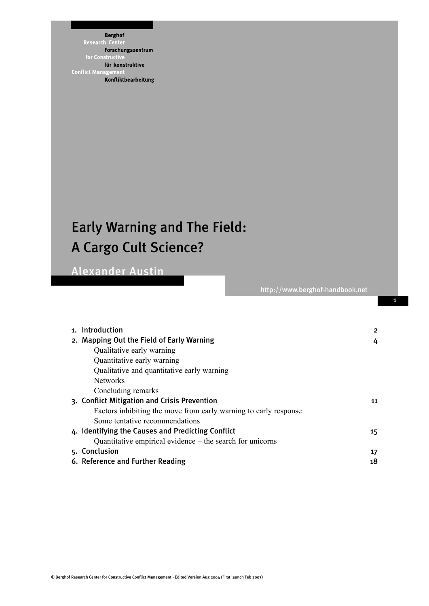**Berghof** 

**Research Cente** Forschungszentrum for Constructive für konstruktive **Conflict Manas** Konfliktbearbeitung

# Early Warning and The Field: A Cargo Cult Science?

Alexander Austin

http://www.berghof-handbook.net

| 1. Introduction                                                  | $\mathbf{2}$ |
|------------------------------------------------------------------|--------------|
| 2. Mapping Out the Field of Early Warning                        | 4            |
| Qualitative early warning                                        |              |
| Quantitative early warning                                       |              |
| Qualitative and quantitative early warning                       |              |
| <b>Networks</b>                                                  |              |
| Concluding remarks                                               |              |
| 3. Conflict Mitigation and Crisis Prevention                     | 11           |
| Factors inhibiting the move from early warning to early response |              |
| Some tentative recommendations                                   |              |
| 4. Identifying the Causes and Predicting Conflict                | 15           |
| Quantitative empirical evidence – the search for unicorns        |              |
| 5. Conclusion                                                    | 17           |
| 6. Reference and Further Reading                                 | 18           |
|                                                                  |              |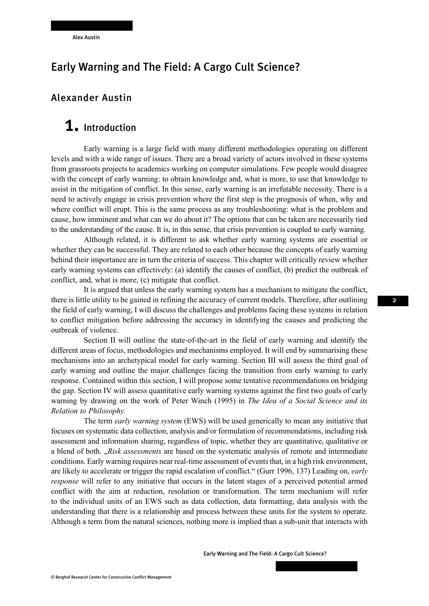### Early Warning and The Field: A Cargo Cult Science?

### Alexander Austin

### 1. Introduction

Early warning is a large field with many different methodologies operating on different levels and with a wide range of issues. There are a broad variety of actors involved in these systems from grassroots projects to academics working on computer simulations. Few people would disagree with the concept of early warning: to obtain knowledge and, what is more, to use that knowledge to assist in the mitigation of conflict. In this sense, early warning is an irrefutable necessity. There is a need to actively engage in crisis prevention where the first step is the prognosis of when, why and where conflict will erupt. This is the same process as any troubleshooting: what is the problem and cause, how imminent and what can we do about it? The options that can be taken are necessarily tied to the understanding of the cause. It is, in this sense, that crisis prevention is coupled to early warning.

Although related, it is different to ask whether early warning systems are essential or whether they can be successful. They are related to each other because the concepts of early warning behind their importance are in turn the criteria of success. This chapter will critically review whether early warning systems can effectively: (a) identify the causes of conflict, (b) predict the outbreak of conflict, and, what is more, (c) mitigate that conflict.

It is argued that unless the early warning system has a mechanism to mitigate the conflict, there is little utility to be gained in refining the accuracy of current models. Therefore, after outlining the field of early warning, I will discuss the challenges and problems facing these systems in relation to conflict mitigation before addressing the accuracy in identifying the causes and predicting the outbreak of violence.

Section II will outline the state-of-the-art in the field of early warning and identify the different areas of focus, methodologies and mechanisms employed. It will end by summarising these mechanisms into an archetypical model for early warning. Section III will assess the third goal of early warning and outline the major challenges facing the transition from early warning to early response. Contained within this section, I will propose some tentative recommendations on bridging the gap. Section IV will assess quantitative early warning systems against the first two goals of early warning by drawing on the work of Peter Winch (1995) in *The Idea of a Social Science and its Relation to Philosophy.*

The term *early warning system* (EWS) will be used generically to mean any initiative that focuses on systematic data collection, analysis and/or formulation of recommendations, including risk assessment and information sharing, regardless of topic, whether they are quantitative, qualitative or a blend of both. "*Risk assessments* are based on the systematic analysis of remote and intermediate conditions. Early warning requires near real-time assessment of events that, in a high risk environment, are likely to accelerate or trigger the rapid escalation of conflict." (Gurr 1996, 137) Leading on, *early response* will refer to any initiative that occurs in the latent stages of a perceived potential armed conflict with the aim at reduction, resolution or transformation. The term mechanism will refer to the individual units of an EWS such as data collection, data formatting, data analysis with the understanding that there is a relationship and process between these units for the system to operate. Although a term from the natural sciences, nothing more is implied than a sub-unit that interacts with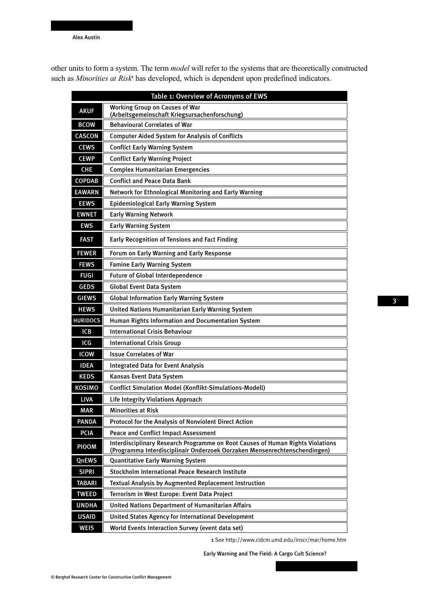other units to form a system. The term *model* will refer to the systems that are theoretically constructed such as *Minorities at Risk*<sup>1</sup> has developed, which is dependent upon predefined indicators.

| Table 1: Overview of Acronyms of EWS |                                                                                                                                                             |  |  |  |  |
|--------------------------------------|-------------------------------------------------------------------------------------------------------------------------------------------------------------|--|--|--|--|
| <b>AKUF</b>                          | <b>Working Group on Causes of War</b><br>(Arbeitsgemeinschaft Kriegsursachenforschung)                                                                      |  |  |  |  |
| <b>BCOW</b>                          | <b>Behavioural Correlates of War</b>                                                                                                                        |  |  |  |  |
| <b>CASCON</b>                        | <b>Computer Aided System for Analysis of Conflicts</b>                                                                                                      |  |  |  |  |
| <b>CEWS</b>                          | <b>Conflict Early Warning System</b>                                                                                                                        |  |  |  |  |
| <b>CEWP</b>                          | <b>Conflict Early Warning Project</b>                                                                                                                       |  |  |  |  |
| <b>CHE</b>                           | <b>Complex Humanitarian Emergencies</b>                                                                                                                     |  |  |  |  |
| COPDAB                               | <b>Conflict and Peace Data Bank</b>                                                                                                                         |  |  |  |  |
| <b>EAWARN</b>                        | Network for Ethnological Monitoring and Early Warning                                                                                                       |  |  |  |  |
| <b>EEWS</b>                          | <b>Epidemiological Early Warning System</b>                                                                                                                 |  |  |  |  |
| <b>EWNET</b>                         | <b>Early Warning Network</b>                                                                                                                                |  |  |  |  |
| <b>EWS</b>                           | <b>Early Warning System</b>                                                                                                                                 |  |  |  |  |
| <b>FAST</b>                          | Early Recognition of Tensions and Fact Finding                                                                                                              |  |  |  |  |
| <b>FEWER</b>                         | Forum on Early Warning and Early Response                                                                                                                   |  |  |  |  |
| <b>FEWS</b>                          | <b>Famine Early Warning System</b>                                                                                                                          |  |  |  |  |
| <b>FUGI</b>                          | <b>Future of Global Interdependence</b>                                                                                                                     |  |  |  |  |
| <b>GEDS</b>                          | <b>Global Event Data System</b>                                                                                                                             |  |  |  |  |
| <b>GIEWS</b>                         | <b>Global Information Early Warning System</b>                                                                                                              |  |  |  |  |
| <b>HEWS</b>                          | United Nations Humanitarian Early Warning System                                                                                                            |  |  |  |  |
| <b>HURIDOCS</b>                      | Human Rights Information and Documentation System                                                                                                           |  |  |  |  |
| <b>ICB</b>                           | <b>International Crisis Behaviour</b>                                                                                                                       |  |  |  |  |
| ICG                                  | <b>International Crisis Group</b>                                                                                                                           |  |  |  |  |
| <b>ICOW</b>                          | <b>Issue Correlates of War</b>                                                                                                                              |  |  |  |  |
| <b>IDEA</b>                          | <b>Integrated Data for Event Analysis</b>                                                                                                                   |  |  |  |  |
| <b>KEDS</b>                          | Kansas Event Data System                                                                                                                                    |  |  |  |  |
| <b>KOSIMO</b>                        | <b>Conflict Simulation Model (Konflikt-Simulations-Modell)</b>                                                                                              |  |  |  |  |
| <b>LIVA</b>                          | Life Integrity Violations Approach                                                                                                                          |  |  |  |  |
| <b>MAR</b>                           | <b>Minorities at Risk</b>                                                                                                                                   |  |  |  |  |
| <b>PANDA</b>                         | Protocol for the Analysis of Nonviolent Direct Action                                                                                                       |  |  |  |  |
| <b>PCIA</b>                          | <b>Peace and Conflict Impact Assessment</b>                                                                                                                 |  |  |  |  |
| <b>PIOOM</b>                         | Interdisciplinary Research Programme on Root Causes of Human Rights Violations<br>(Programma Interdisciplinair Onderzoek Oorzaken Mensenrechtenschendingen) |  |  |  |  |
| QnEWS                                | <b>Quantitative Early Warning System</b>                                                                                                                    |  |  |  |  |
| <b>SIPRI</b>                         | Stockholm International Peace Research Institute                                                                                                            |  |  |  |  |
| <b>TABARI</b>                        | <b>Textual Analysis by Augmented Replacement Instruction</b>                                                                                                |  |  |  |  |
| <b>TWEED</b>                         | Terrorism in West Europe: Event Data Project                                                                                                                |  |  |  |  |
| <b>UNDHA</b>                         | United Nations Department of Humanitarian Affairs                                                                                                           |  |  |  |  |
| <b>USAID</b>                         | United States Agency for International Development                                                                                                          |  |  |  |  |
| <b>WEIS</b>                          | World Events Interaction Survey (event data set)                                                                                                            |  |  |  |  |

1 See http://www.cidcm.umd.edu/inscr/mar/home.htm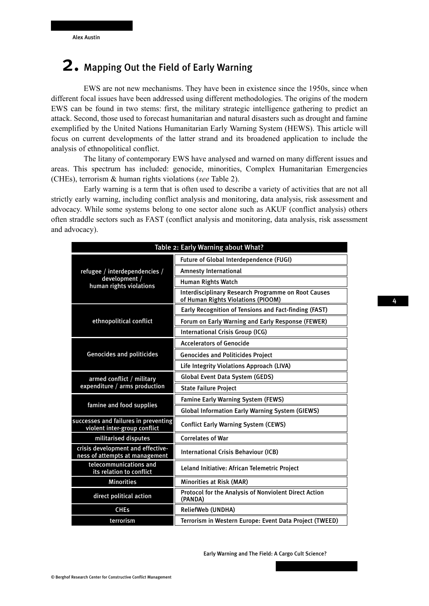## 2. Mapping Out the Field of Early Warning

EWS are not new mechanisms. They have been in existence since the 1950s, since when different focal issues have been addressed using different methodologies. The origins of the modern EWS can be found in two stems: first, the military strategic intelligence gathering to predict an attack. Second, those used to forecast humanitarian and natural disasters such as drought and famine exemplified by the United Nations Humanitarian Early Warning System (HEWS). This article will focus on current developments of the latter strand and its broadened application to include the analysis of ethnopolitical conflict.

The litany of contemporary EWS have analysed and warned on many different issues and areas. This spectrum has included: genocide, minorities, Complex Humanitarian Emergencies (CHEs), terrorism & human rights violations (*see* Table 2).

Early warning is a term that is often used to describe a variety of activities that are not all strictly early warning, including conflict analysis and monitoring, data analysis, risk assessment and advocacy. While some systems belong to one sector alone such as AKUF (conflict analysis) others often straddle sectors such as FAST (conflict analysis and monitoring, data analysis, risk assessment and advocacy).

| Table 2: Early Warning about What?                                   |                                                                                                  |  |  |  |
|----------------------------------------------------------------------|--------------------------------------------------------------------------------------------------|--|--|--|
|                                                                      | Future of Global Interdependence (FUGI)                                                          |  |  |  |
| refugee / interdependencies /                                        | <b>Amnesty International</b>                                                                     |  |  |  |
| development /<br>human rights violations                             | <b>Human Rights Watch</b>                                                                        |  |  |  |
|                                                                      | <b>Interdisciplinary Research Programme on Root Causes</b><br>of Human Rights Violations (PIOOM) |  |  |  |
|                                                                      | Early Recognition of Tensions and Fact-finding (FAST)                                            |  |  |  |
| ethnopolitical conflict                                              | Forum on Early Warning and Early Response (FEWER)                                                |  |  |  |
|                                                                      | <b>International Crisis Group (ICG)</b>                                                          |  |  |  |
|                                                                      | <b>Accelerators of Genocide</b>                                                                  |  |  |  |
| <b>Genocides and politicides</b>                                     | <b>Genocides and Politicides Project</b>                                                         |  |  |  |
|                                                                      | Life Integrity Violations Approach (LIVA)                                                        |  |  |  |
| armed conflict / military                                            | <b>Global Event Data System (GEDS)</b>                                                           |  |  |  |
| expenditure / arms production                                        | <b>State Failure Project</b>                                                                     |  |  |  |
|                                                                      | <b>Famine Early Warning System (FEWS)</b>                                                        |  |  |  |
| famine and food supplies                                             | <b>Global Information Early Warning System (GIEWS)</b>                                           |  |  |  |
| successes and failures in preventing<br>violent inter-group conflict | <b>Conflict Early Warning System (CEWS)</b>                                                      |  |  |  |
| militarised disputes                                                 | <b>Correlates of War</b>                                                                         |  |  |  |
| crisis development and effective-<br>ness of attempts at management  | <b>International Crisis Behaviour (ICB)</b>                                                      |  |  |  |
| telecommunications and<br>its relation to conflict                   | Leland Initiative: African Telemetric Project                                                    |  |  |  |
| <b>Minorities</b>                                                    | Minorities at Risk (MAR)                                                                         |  |  |  |
| direct political action                                              | Protocol for the Analysis of Nonviolent Direct Action<br>(PANDA)                                 |  |  |  |
| <b>CHE<sub>s</sub></b>                                               | ReliefWeb (UNDHA)                                                                                |  |  |  |
| terrorism                                                            | Terrorism in Western Europe: Event Data Project (TWEED)                                          |  |  |  |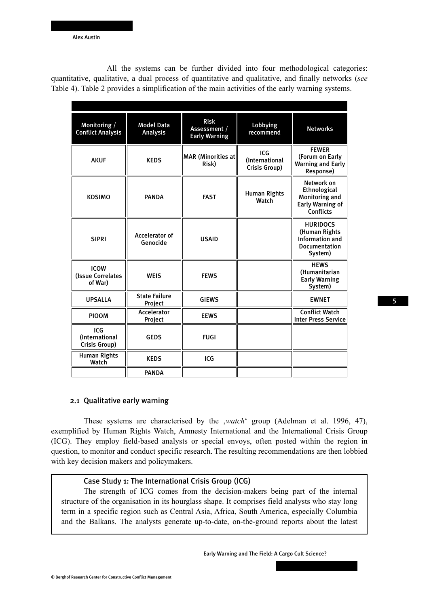All the systems can be further divided into four methodological categories: quantitative, qualitative, a dual process of quantitative and qualitative, and finally networks (*see* Table 4). Table 2 provides a simplification of the main activities of the early warning systems.

| Monitoring /<br><b>Conflict Analysis</b>    | <b>Model Data</b><br><b>Analysis</b>   | <b>Risk</b><br>Assessment /<br><b>Early Warning</b> | Lobbying<br>recommend                  | <b>Networks</b>                                                                        |
|---------------------------------------------|----------------------------------------|-----------------------------------------------------|----------------------------------------|----------------------------------------------------------------------------------------|
| <b>AKUF</b>                                 | <b>KEDS</b>                            | MAR (Minorities at<br>Risk)                         | ICG<br>(International<br>Crisis Group) | <b>FEWER</b><br>(Forum on Early<br><b>Warning and Early</b><br>Response)               |
| <b>KOSIMO</b>                               | <b>PANDA</b>                           | <b>FAST</b>                                         | <b>Human Rights</b><br>Watch           | Network on<br>Ethnological<br>Monitoring and<br><b>Early Warning of</b><br>Conflicts   |
| <b>SIPRI</b>                                | Accelerator of<br>Genocide             | <b>USAID</b>                                        |                                        | <b>HURIDOCS</b><br>(Human Rights<br>Information and<br><b>Documentation</b><br>System) |
| <b>ICOW</b><br>(Issue Correlates<br>of War) | <b>WEIS</b>                            | <b>FEWS</b>                                         |                                        | <b>HEWS</b><br>(Humanitarian<br><b>Early Warning</b><br>System)                        |
| <b>UPSALLA</b>                              | <b>State Failure</b><br><b>Project</b> | <b>GIEWS</b>                                        |                                        | <b>EWNET</b>                                                                           |
| <b>PIOOM</b>                                | Accelerator<br>Project                 | <b>EEWS</b>                                         |                                        | <b>Conflict Watch</b><br><b>Inter Press Service</b>                                    |
| ICG<br>(International<br>Crisis Group)      | <b>GEDS</b>                            | <b>FUGI</b>                                         |                                        |                                                                                        |
| <b>Human Rights</b><br>Watch                | <b>KEDS</b>                            | ICG                                                 |                                        |                                                                                        |
|                                             | <b>PANDA</b>                           |                                                     |                                        |                                                                                        |

#### 2.1 Qualitative early warning

These systems are characterised by the *,watch*<sup>*'*</sup> group (Adelman et al. 1996, 47), exemplified by Human Rights Watch, Amnesty International and the International Crisis Group (ICG). They employ field-based analysts or special envoys, often posted within the region in question, to monitor and conduct specific research. The resulting recommendations are then lobbied with key decision makers and policymakers.

#### Case Study 1: The International Crisis Group (ICG)

The strength of ICG comes from the decision-makers being part of the internal structure of the organisation in its hourglass shape. It comprises field analysts who stay long term in a specific region such as Central Asia, Africa, South America, especially Columbia and the Balkans. The analysts generate up-to-date, on-the-ground reports about the latest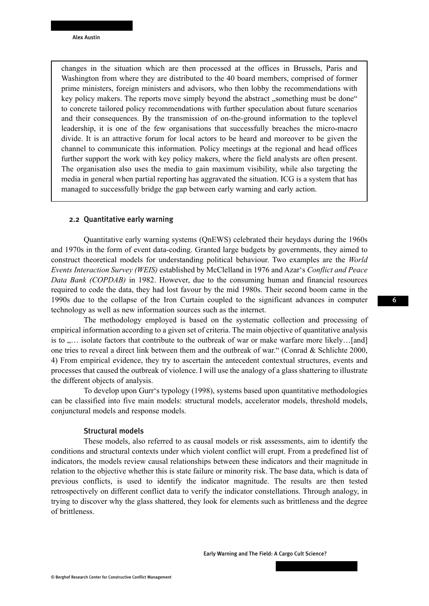changes in the situation which are then processed at the offices in Brussels, Paris and Washington from where they are distributed to the 40 board members, comprised of former prime ministers, foreign ministers and advisors, who then lobby the recommendations with key policy makers. The reports move simply beyond the abstract , something must be done" to concrete tailored policy recommendations with further speculation about future scenarios and their consequences. By the transmission of on-the-ground information to the toplevel leadership, it is one of the few organisations that successfully breaches the micro-macro divide. It is an attractive forum for local actors to be heard and moreover to be given the channel to communicate this information. Policy meetings at the regional and head offices further support the work with key policy makers, where the field analysts are often present. The organisation also uses the media to gain maximum visibility, while also targeting the media in general when partial reporting has aggravated the situation. ICG is a system that has managed to successfully bridge the gap between early warning and early action.

#### 2.2 Quantitative early warning

Quantitative early warning systems (QnEWS) celebrated their heydays during the 1960s and 1970s in the form of event data-coding. Granted large budgets by governments, they aimed to construct theoretical models for understanding political behaviour. Two examples are the *World Events Interaction Survey (WEIS)* established by McClelland in 1976 and Azar's *Conflict and Peace Data Bank (COPDAB)* in 1982. However, due to the consuming human and financial resources required to code the data, they had lost favour by the mid 1980s. Their second boom came in the 1990s due to the collapse of the Iron Curtain coupled to the significant advances in computer technology as well as new information sources such as the internet.

The methodology employed is based on the systematic collection and processing of empirical information according to a given set of criteria. The main objective of quantitative analysis is to .... isolate factors that contribute to the outbreak of war or make warfare more likely...[and] one tries to reveal a direct link between them and the outbreak of war." (Conrad & Schlichte 2000, 4) From empirical evidence, they try to ascertain the antecedent contextual structures, events and processes that caused the outbreak of violence. I will use the analogy of a glass shattering to illustrate the different objects of analysis.

To develop upon Gurr's typology (1998), systems based upon quantitative methodologies can be classified into five main models: structural models, accelerator models, threshold models, conjunctural models and response models.

#### Structural models

These models, also referred to as causal models or risk assessments, aim to identify the conditions and structural contexts under which violent conflict will erupt. From a predefined list of indicators, the models review causal relationships between these indicators and their magnitude in relation to the objective whether this is state failure or minority risk. The base data, which is data of previous conflicts, is used to identify the indicator magnitude. The results are then tested retrospectively on different conflict data to verify the indicator constellations. Through analogy, in trying to discover why the glass shattered, they look for elements such as brittleness and the degree of brittleness.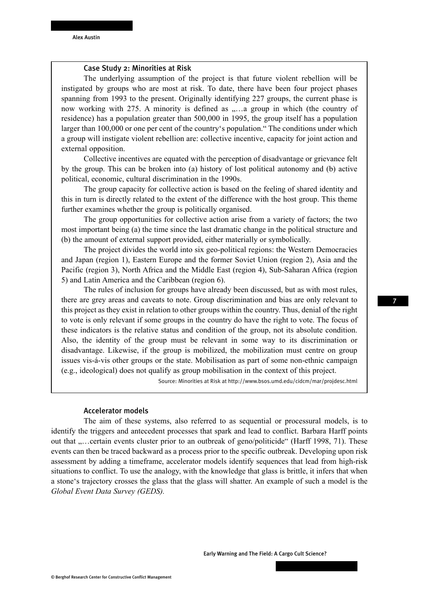#### Case Study 2: Minorities at Risk

The underlying assumption of the project is that future violent rebellion will be instigated by groups who are most at risk. To date, there have been four project phases spanning from 1993 to the present. Originally identifying 227 groups, the current phase is now working with 275. A minority is defined as  $,...a$  group in which (the country of residence) has a population greater than 500,000 in 1995, the group itself has a population larger than 100,000 or one per cent of the country's population." The conditions under which a group will instigate violent rebellion are: collective incentive, capacity for joint action and external opposition.

Collective incentives are equated with the perception of disadvantage or grievance felt by the group. This can be broken into (a) history of lost political autonomy and (b) active political, economic, cultural discrimination in the 1990s.

The group capacity for collective action is based on the feeling of shared identity and this in turn is directly related to the extent of the difference with the host group. This theme further examines whether the group is politically organised.

The group opportunities for collective action arise from a variety of factors; the two most important being (a) the time since the last dramatic change in the political structure and (b) the amount of external support provided, either materially or symbolically.

The project divides the world into six geo-political regions: the Western Democracies and Japan (region 1), Eastern Europe and the former Soviet Union (region 2), Asia and the Pacific (region 3), North Africa and the Middle East (region 4), Sub-Saharan Africa (region 5) and Latin America and the Caribbean (region 6).

The rules of inclusion for groups have already been discussed, but as with most rules, there are grey areas and caveats to note. Group discrimination and bias are only relevant to this project as they exist in relation to other groups within the country. Thus, denial of the right to vote is only relevant if some groups in the country do have the right to vote. The focus of these indicators is the relative status and condition of the group, not its absolute condition. Also, the identity of the group must be relevant in some way to its discrimination or disadvantage. Likewise, if the group is mobilized, the mobilization must centre on group issues vis-á-vis other groups or the state. Mobilisation as part of some non-ethnic campaign (e.g., ideological) does not qualify as group mobilisation in the context of this project.

Source: Minorities at Risk at http://www.bsos.umd.edu/cidcm/mar/projdesc.html

#### Accelerator models

The aim of these systems, also referred to as sequential or processural models, is to identify the triggers and antecedent processes that spark and lead to conflict. Barbara Harff points out that  $\ldots$  certain events cluster prior to an outbreak of geno/politicide" (Harff 1998, 71). These events can then be traced backward as a process prior to the specific outbreak. Developing upon risk assessment by adding a timeframe, accelerator models identify sequences that lead from high-risk situations to conflict. To use the analogy, with the knowledge that glass is brittle, it infers that when a stone's trajectory crosses the glass that the glass will shatter. An example of such a model is the *Global Event Data Survey (GEDS).*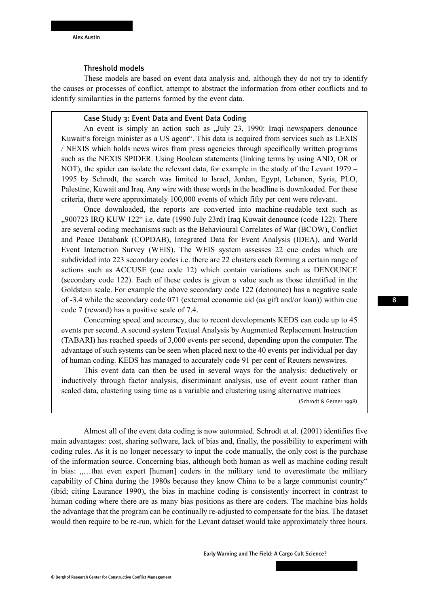#### Threshold models

These models are based on event data analysis and, although they do not try to identify the causes or processes of conflict, attempt to abstract the information from other conflicts and to identify similarities in the patterns formed by the event data.

#### Case Study 3: Event Data and Event Data Coding

An event is simply an action such as "July 23, 1990: Iraqi newspapers denounce" Kuwait's foreign minister as a US agent". This data is acquired from services such as LEXIS / NEXIS which holds news wires from press agencies through specifically written programs such as the NEXIS SPIDER. Using Boolean statements (linking terms by using AND, OR or NOT), the spider can isolate the relevant data, for example in the study of the Levant 1979 – 1995 by Schrodt, the search was limited to Israel, Jordan, Egypt, Lebanon, Syria, PLO, Palestine, Kuwait and Iraq. Any wire with these words in the headline is downloaded. For these criteria, there were approximately 100,000 events of which fifty per cent were relevant.

Once downloaded, the reports are converted into machine-readable text such as "900723 IRQ KUW 122" i.e. date (1990 July 23rd) Iraq Kuwait denounce (code 122). There are several coding mechanisms such as the Behavioural Correlates of War (BCOW), Conflict and Peace Databank (COPDAB), Integrated Data for Event Analysis (IDEA), and World Event Interaction Survey (WEIS). The WEIS system assesses 22 cue codes which are subdivided into 223 secondary codes i.e. there are 22 clusters each forming a certain range of actions such as ACCUSE (cue code 12) which contain variations such as DENOUNCE (secondary code 122). Each of these codes is given a value such as those identified in the Goldstein scale. For example the above secondary code 122 (denounce) has a negative scale of -3.4 while the secondary code 071 (external economic aid (as gift and/or loan)) within cue code 7 (reward) has a positive scale of 7.4.

Concerning speed and accuracy, due to recent developments KEDS can code up to 45 events per second. A second system Textual Analysis by Augmented Replacement Instruction (TABARI) has reached speeds of 3,000 events per second, depending upon the computer. The advantage of such systems can be seen when placed next to the 40 events per individual per day of human coding. KEDS has managed to accurately code 91 per cent of Reuters newswires.

This event data can then be used in several ways for the analysis: deductively or inductively through factor analysis, discriminant analysis, use of event count rather than scaled data, clustering using time as a variable and clustering using alternative matrices

(Schrodt & Gerner 1998)

Almost all of the event data coding is now automated. Schrodt et al. (2001) identifies five main advantages: cost, sharing software, lack of bias and, finally, the possibility to experiment with coding rules. As it is no longer necessary to input the code manually, the only cost is the purchase of the information source. Concerning bias, although both human as well as machine coding result in bias: .....that even expert [human] coders in the military tend to overestimate the military capability of China during the 1980s because they know China to be a large communist country" (ibid; citing Laurance 1990), the bias in machine coding is consistently incorrect in contrast to human coding where there are as many bias positions as there are coders. The machine bias holds the advantage that the program can be continually re-adjusted to compensate for the bias. The dataset would then require to be re-run, which for the Levant dataset would take approximately three hours.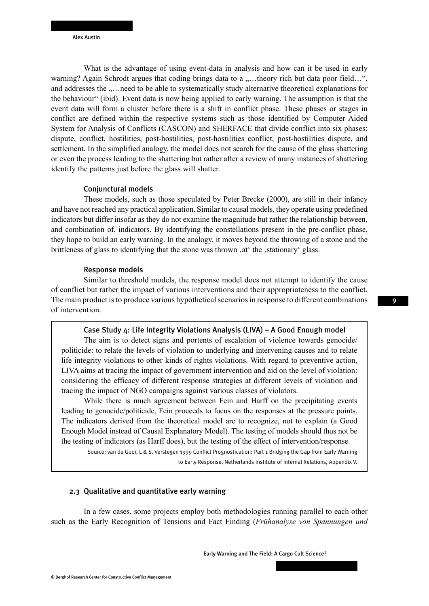What is the advantage of using event-data in analysis and how can it be used in early warning? Again Schrodt argues that coding brings data to a .... theory rich but data poor field...", and addresses the  $\ldots$  need to be able to systematically study alternative theoretical explanations for the behaviour" (ibid). Event data is now being applied to early warning. The assumption is that the event data will form a cluster before there is a shift in conflict phase. These phases or stages in conflict are defined within the respective systems such as those identified by Computer Aided System for Analysis of Conflicts (CASCON) and SHERFACE that divide conflict into six phases: dispute, conflict, hostilities, post-hostilities, post-hostilities conflict, post-hostilities dispute, and settlement. In the simplified analogy, the model does not search for the cause of the glass shattering or even the process leading to the shattering but rather after a review of many instances of shattering identify the patterns just before the glass will shatter.

#### Conjunctural models

These models, such as those speculated by Peter Brecke (2000), are still in their infancy and have not reached any practical application. Similar to causal models, they operate using predefined indicators but differ insofar as they do not examine the magnitude but rather the relationship between, and combination of, indicators. By identifying the constellations present in the pre-conflict phase, they hope to build an early warning. In the analogy, it moves beyond the throwing of a stone and the brittleness of glass to identifying that the stone was thrown at the stationary glass.

#### Response models

Similar to threshold models, the response model does not attempt to identify the cause of conflict but rather the impact of various interventions and their appropriateness to the conflict. The main product is to produce various hypothetical scenarios in response to different combinations of intervention.

#### Case Study 4: Life Integrity Violations Analysis (LIVA) – A Good Enough model

The aim is to detect signs and portents of escalation of violence towards genocide/ politicide: to relate the levels of violation to underlying and intervening causes and to relate life integrity violations to other kinds of rights violations. With regard to preventive action, LIVA aims at tracing the impact of government intervention and aid on the level of violation: considering the efficacy of different response strategies at different levels of violation and tracing the impact of NGO campaigns against various classes of violators.

While there is much agreement between Fein and Harff on the precipitating events leading to genocide/politicide, Fein proceeds to focus on the responses at the pressure points. The indicators derived from the theoretical model are to recognize, not to explain (a Good Enough Model instead of Causal Explanatory Model). The testing of models should thus not be the testing of indicators (as Harff does), but the testing of the effect of intervention/response.

Source: van de Goor, L & S. Verstegen 1999 Conflict Prognostication: Part 1 Bridging the Gap from Early Warning to Early Response, Netherlands Institute of Internal Relations, Appendix V.

#### 2.3 Qualitative and quantitative early warning

In a few cases, some projects employ both methodologies running parallel to each other such as the Early Recognition of Tensions and Fact Finding (*Frühanalyse von Spannungen und*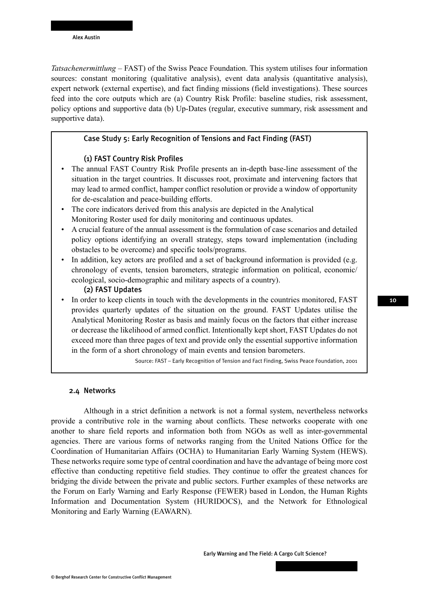*Tatsachenermittlung* – FAST) of the Swiss Peace Foundation. This system utilises four information sources: constant monitoring (qualitative analysis), event data analysis (quantitative analysis), expert network (external expertise), and fact finding missions (field investigations). These sources feed into the core outputs which are (a) Country Risk Profile: baseline studies, risk assessment, policy options and supportive data (b) Up-Dates (regular, executive summary, risk assessment and supportive data).

#### Case Study 5: Early Recognition of Tensions and Fact Finding (FAST)

#### (1) FAST Country Risk Profiles

- The annual FAST Country Risk Profile presents an in-depth base-line assessment of the situation in the target countries. It discusses root, proximate and intervening factors that may lead to armed conflict, hamper conflict resolution or provide a window of opportunity for de-escalation and peace-building efforts.
- The core indicators derived from this analysis are depicted in the Analytical Monitoring Roster used for daily monitoring and continuous updates.
- A crucial feature of the annual assessment is the formulation of case scenarios and detailed policy options identifying an overall strategy, steps toward implementation (including obstacles to be overcome) and specific tools/programs.
- In addition, key actors are profiled and a set of background information is provided (e.g. chronology of events, tension barometers, strategic information on political, economic/ ecological, socio-demographic and military aspects of a country).

#### (2) FAST Updates

• In order to keep clients in touch with the developments in the countries monitored, FAST provides quarterly updates of the situation on the ground. FAST Updates utilise the Analytical Monitoring Roster as basis and mainly focus on the factors that either increase or decrease the likelihood of armed conflict. Intentionally kept short, FAST Updates do not exceed more than three pages of text and provide only the essential supportive information in the form of a short chronology of main events and tension barometers.

Source: FAST – Early Recognition of Tension and Fact Finding, Swiss Peace Foundation, 2001

#### 2.4 Networks

Although in a strict definition a network is not a formal system, nevertheless networks provide a contributive role in the warning about conflicts. These networks cooperate with one another to share field reports and information both from NGOs as well as inter-governmental agencies. There are various forms of networks ranging from the United Nations Office for the Coordination of Humanitarian Affairs (OCHA) to Humanitarian Early Warning System (HEWS). These networks require some type of central coordination and have the advantage of being more cost effective than conducting repetitive field studies. They continue to offer the greatest chances for bridging the divide between the private and public sectors. Further examples of these networks are the Forum on Early Warning and Early Response (FEWER) based in London, the Human Rights Information and Documentation System (HURIDOCS), and the Network for Ethnological Monitoring and Early Warning (EAWARN).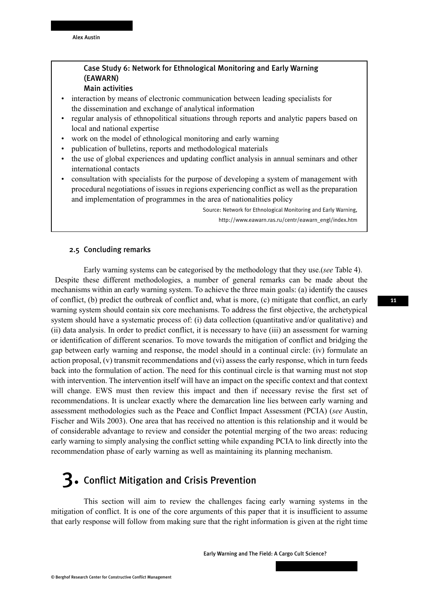#### Case Study 6: Network for Ethnological Monitoring and Early Warning (EAWARN)

#### Main activities

- interaction by means of electronic communication between leading specialists for the dissemination and exchange of analytical information
- regular analysis of ethnopolitical situations through reports and analytic papers based on local and national expertise
- work on the model of ethnological monitoring and early warning
- publication of bulletins, reports and methodological materials
- the use of global experiences and updating conflict analysis in annual seminars and other international contacts
- consultation with specialists for the purpose of developing a system of management with procedural negotiations of issues in regions experiencing conflict as well as the preparation and implementation of programmes in the area of nationalities policy

Source: Network for Ethnological Monitoring and Early Warning, http://www.eawarn.ras.ru/centr/eawarn\_engl/index.htm

#### 2.5 Concluding remarks

Early warning systems can be categorised by the methodology that they use.(*see* Table 4). Despite these different methodologies, a number of general remarks can be made about the mechanisms within an early warning system. To achieve the three main goals: (a) identify the causes of conflict, (b) predict the outbreak of conflict and, what is more, (c) mitigate that conflict, an early warning system should contain six core mechanisms. To address the first objective, the archetypical system should have a systematic process of: (i) data collection (quantitative and/or qualitative) and (ii) data analysis. In order to predict conflict, it is necessary to have (iii) an assessment for warning or identification of different scenarios. To move towards the mitigation of conflict and bridging the gap between early warning and response, the model should in a continual circle: (iv) formulate an action proposal, (v) transmit recommendations and (vi) assess the early response, which in turn feeds back into the formulation of action. The need for this continual circle is that warning must not stop with intervention. The intervention itself will have an impact on the specific context and that context will change. EWS must then review this impact and then if necessary revise the first set of recommendations. It is unclear exactly where the demarcation line lies between early warning and assessment methodologies such as the Peace and Conflict Impact Assessment (PCIA) (*see* Austin, Fischer and Wils 2003). One area that has received no attention is this relationship and it would be of considerable advantage to review and consider the potential merging of the two areas: reducing early warning to simply analysing the conflict setting while expanding PCIA to link directly into the recommendation phase of early warning as well as maintaining its planning mechanism.

# 3. Conflict Mitigation and Crisis Prevention

This section will aim to review the challenges facing early warning systems in the mitigation of conflict. It is one of the core arguments of this paper that it is insufficient to assume that early response will follow from making sure that the right information is given at the right time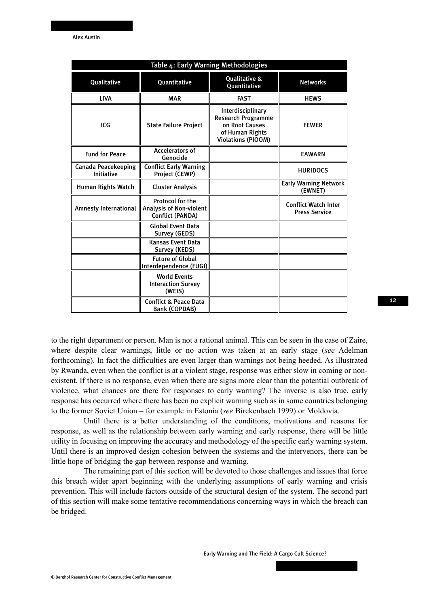Alex Austin

| Table 4: Early Warning Methodologies     |                                                                               |                                                                                                                  |                                                     |  |  |  |  |
|------------------------------------------|-------------------------------------------------------------------------------|------------------------------------------------------------------------------------------------------------------|-----------------------------------------------------|--|--|--|--|
| Qualitative                              | Quantitative                                                                  | <b>Qualitative &amp;</b><br>Quantitative                                                                         | <b>Networks</b>                                     |  |  |  |  |
| <b>LIVA</b>                              | <b>MAR</b>                                                                    | <b>FAST</b>                                                                                                      | <b>HEWS</b>                                         |  |  |  |  |
| ICG                                      | <b>State Failure Project</b>                                                  | Interdisciplinary<br><b>Research Programme</b><br>on Root Causes<br>of Human Rights<br><b>Violations (PIOOM)</b> | <b>FEWER</b>                                        |  |  |  |  |
| <b>Fund for Peace</b>                    | <b>Accelerators of</b><br>Genocide                                            |                                                                                                                  | <b>EAWARN</b>                                       |  |  |  |  |
| <b>Canada Peacekeeping</b><br>Initiative | <b>Conflict Early Warning</b><br>Project (CEWP)                               |                                                                                                                  | <b>HURIDOCS</b>                                     |  |  |  |  |
| Human Rights Watch                       | <b>Cluster Analysis</b>                                                       |                                                                                                                  | <b>Early Warning Network</b><br>(EWNET)             |  |  |  |  |
| <b>Amnesty International</b>             | <b>Protocol for the</b><br><b>Analysis of Non-violent</b><br>Conflict (PANDA) |                                                                                                                  | <b>Conflict Watch Inter</b><br><b>Press Service</b> |  |  |  |  |
|                                          | <b>Global Event Data</b><br>Survey (GEDS)                                     |                                                                                                                  |                                                     |  |  |  |  |
|                                          | <b>Kansas Event Data</b><br>Survey (KEDS)                                     |                                                                                                                  |                                                     |  |  |  |  |
|                                          | <b>Future of Global</b><br>Interdependence (FUGI)                             |                                                                                                                  |                                                     |  |  |  |  |
|                                          | <b>World Events</b><br><b>Interaction Survey</b><br>(WEIS)                    |                                                                                                                  |                                                     |  |  |  |  |
|                                          | <b>Conflict &amp; Peace Data</b><br>Bank (COPDAB)                             |                                                                                                                  |                                                     |  |  |  |  |

to the right department or person. Man is not a rational animal. This can be seen in the case of Zaire, where despite clear warnings, little or no action was taken at an early stage (*see* Adelman forthcoming). In fact the difficulties are even larger than warnings not being heeded. As illustrated by Rwanda, even when the conflict is at a violent stage, response was either slow in coming or nonexistent. If there is no response, even when there are signs more clear than the potential outbreak of violence, what chances are there for responses to early warning? The inverse is also true, early response has occurred where there has been no explicit warning such as in some countries belonging to the former Soviet Union – for example in Estonia (*see* Birckenbach 1999) or Moldovia.

Until there is a better understanding of the conditions, motivations and reasons for response, as well as the relationship between early warning and early response, there will be little utility in focusing on improving the accuracy and methodology of the specific early warning system. Until there is an improved design cohesion between the systems and the intervenors, there can be little hope of bridging the gap between response and warning.

The remaining part of this section will be devoted to those challenges and issues that force this breach wider apart beginning with the underlying assumptions of early warning and crisis prevention. This will include factors outside of the structural design of the system. The second part of this section will make some tentative recommendations concerning ways in which the breach can be bridged.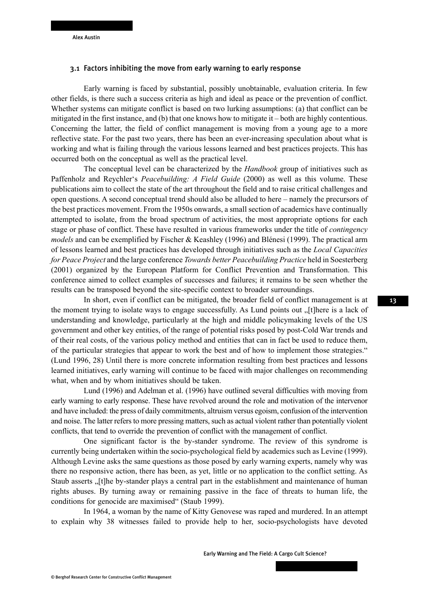#### 3.1 Factors inhibiting the move from early warning to early response

Early warning is faced by substantial, possibly unobtainable, evaluation criteria. In few other fields, is there such a success criteria as high and ideal as peace or the prevention of conflict. Whether systems can mitigate conflict is based on two lurking assumptions: (a) that conflict can be mitigated in the first instance, and (b) that one knows how to mitigate it – both are highly contentious. Concerning the latter, the field of conflict management is moving from a young age to a more reflective state. For the past two years, there has been an ever-increasing speculation about what is working and what is failing through the various lessons learned and best practices projects. This has occurred both on the conceptual as well as the practical level.

The conceptual level can be characterized by the *Handbook* group of initiatives such as Paffenholz and Reychler's *Peacebuilding: A Field Guide* (2000) as well as this volume. These publications aim to collect the state of the art throughout the field and to raise critical challenges and open questions. A second conceptual trend should also be alluded to here – namely the precursors of the best practices movement. From the 1950s onwards, a small section of academics have continually attempted to isolate, from the broad spectrum of activities, the most appropriate options for each stage or phase of conflict. These have resulted in various frameworks under the title of *contingency models* and can be exemplified by Fischer & Keashley (1996) and Blénesi (1999). The practical arm of lessons learned and best practices has developed through initiatives such as the *Local Capacities for Peace Project* and the large conference *Towards better Peacebuilding Practice* held in Soesterberg (2001) organized by the European Platform for Conflict Prevention and Transformation. This conference aimed to collect examples of successes and failures; it remains to be seen whether the results can be transposed beyond the site-specific context to broader surroundings.

In short, even if conflict can be mitigated, the broader field of conflict management is at the moment trying to isolate ways to engage successfully. As Lund points out "[t]here is a lack of understanding and knowledge, particularly at the high and middle policymaking levels of the US government and other key entities, of the range of potential risks posed by post-Cold War trends and of their real costs, of the various policy method and entities that can in fact be used to reduce them, of the particular strategies that appear to work the best and of how to implement those strategies." (Lund 1996, 28) Until there is more concrete information resulting from best practices and lessons learned initiatives, early warning will continue to be faced with major challenges on recommending what, when and by whom initiatives should be taken.

Lund (1996) and Adelman et al. (1996) have outlined several difficulties with moving from early warning to early response. These have revolved around the role and motivation of the intervenor and have included: the press of daily commitments, altruism versus egoism, confusion of the intervention and noise. The latter refers to more pressing matters, such as actual violent rather than potentially violent conflicts, that tend to override the prevention of conflict with the management of conflict.

One significant factor is the by-stander syndrome. The review of this syndrome is currently being undertaken within the socio-psychological field by academics such as Levine (1999). Although Levine asks the same questions as those posed by early warning experts, namely why was there no responsive action, there has been, as yet, little or no application to the conflict setting. As Staub asserts "[t]he by-stander plays a central part in the establishment and maintenance of human rights abuses. By turning away or remaining passive in the face of threats to human life, the conditions for genocide are maximised" (Staub 1999).

In 1964, a woman by the name of Kitty Genovese was raped and murdered. In an attempt to explain why 38 witnesses failed to provide help to her, socio-psychologists have devoted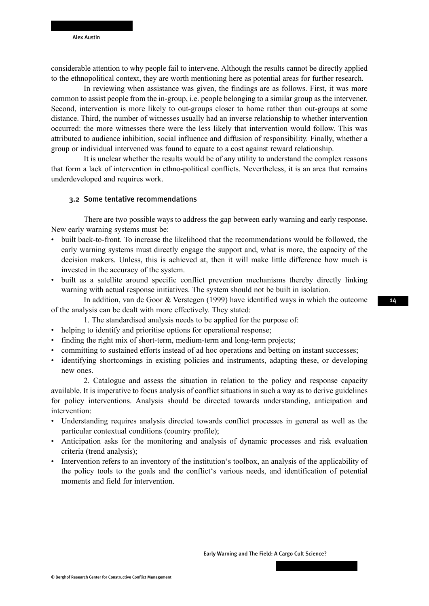considerable attention to why people fail to intervene. Although the results cannot be directly applied to the ethnopolitical context, they are worth mentioning here as potential areas for further research.

In reviewing when assistance was given, the findings are as follows. First, it was more common to assist people from the in-group, i.e. people belonging to a similar group as the intervener. Second, intervention is more likely to out-groups closer to home rather than out-groups at some distance. Third, the number of witnesses usually had an inverse relationship to whether intervention occurred: the more witnesses there were the less likely that intervention would follow. This was attributed to audience inhibition, social influence and diffusion of responsibility. Finally, whether a group or individual intervened was found to equate to a cost against reward relationship.

It is unclear whether the results would be of any utility to understand the complex reasons that form a lack of intervention in ethno-political conflicts. Nevertheless, it is an area that remains underdeveloped and requires work.

#### 3.2 Some tentative recommendations

There are two possible ways to address the gap between early warning and early response. New early warning systems must be:

- built back-to-front. To increase the likelihood that the recommendations would be followed, the early warning systems must directly engage the support and, what is more, the capacity of the decision makers. Unless, this is achieved at, then it will make little difference how much is invested in the accuracy of the system.
- built as a satellite around specific conflict prevention mechanisms thereby directly linking warning with actual response initiatives. The system should not be built in isolation.

In addition, van de Goor & Verstegen (1999) have identified ways in which the outcome of the analysis can be dealt with more effectively. They stated:

1. The standardised analysis needs to be applied for the purpose of:

- helping to identify and prioritise options for operational response;
- finding the right mix of short-term, medium-term and long-term projects;
- committing to sustained efforts instead of ad hoc operations and betting on instant successes;
- identifying shortcomings in existing policies and instruments, adapting these, or developing new ones.

2. Catalogue and assess the situation in relation to the policy and response capacity available. It is imperative to focus analysis of conflict situations in such a way as to derive guidelines for policy interventions. Analysis should be directed towards understanding, anticipation and intervention:

- Understanding requires analysis directed towards conflict processes in general as well as the particular contextual conditions (country profile);
- Anticipation asks for the monitoring and analysis of dynamic processes and risk evaluation criteria (trend analysis);
- Intervention refers to an inventory of the institution's toolbox, an analysis of the applicability of the policy tools to the goals and the conflict's various needs, and identification of potential moments and field for intervention.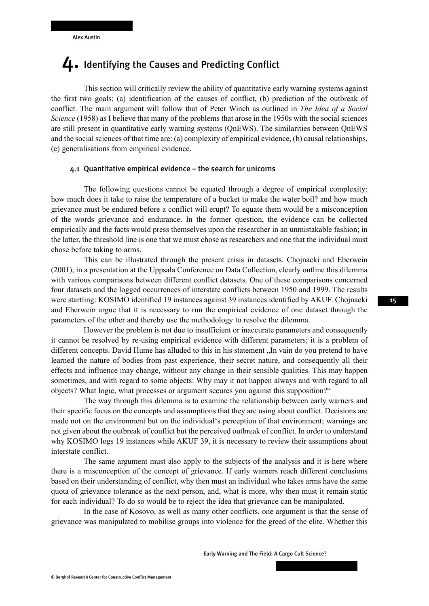## 4. Identifying the Causes and Predicting Conflict

This section will critically review the ability of quantitative early warning systems against the first two goals: (a) identification of the causes of conflict, (b) prediction of the outbreak of conflict. The main argument will follow that of Peter Winch as outlined in *The Idea of a Social Science* (1958) as I believe that many of the problems that arose in the 1950s with the social sciences are still present in quantitative early warning systems (QnEWS). The similarities between QnEWS and the social sciences of that time are: (a) complexity of empirical evidence, (b) causal relationships, (c) generalisations from empirical evidence.

#### 4.1 Quantitative empirical evidence – the search for unicorns

The following questions cannot be equated through a degree of empirical complexity: how much does it take to raise the temperature of a bucket to make the water boil? and how much grievance must be endured before a conflict will erupt? To equate them would be a misconception of the words grievance and endurance. In the former question, the evidence can be collected empirically and the facts would press themselves upon the researcher in an unmistakable fashion; in the latter, the threshold line is one that we must chose as researchers and one that the individual must chose before taking to arms.

This can be illustrated through the present crisis in datasets. Chojnacki and Eberwein (2001), in a presentation at the Uppsala Conference on Data Collection, clearly outline this dilemma with various comparisons between different conflict datasets. One of these comparisons concerned four datasets and the logged occurrences of interstate conflicts between 1950 and 1999. The results were startling: KOSIMO identified 19 instances against 39 instances identified by AKUF. Chojnacki and Eberwein argue that it is necessary to run the empirical evidence of one dataset through the parameters of the other and thereby use the methodology to resolve the dilemma.

However the problem is not due to insufficient or inaccurate parameters and consequently it cannot be resolved by re-using empirical evidence with different parameters; it is a problem of different concepts. David Hume has alluded to this in his statement "In vain do you pretend to have learned the nature of bodies from past experience, their secret nature, and consequently all their effects and influence may change, without any change in their sensible qualities. This may happen sometimes, and with regard to some objects: Why may it not happen always and with regard to all objects? What logic, what processes or argument secures you against this supposition?"

The way through this dilemma is to examine the relationship between early warners and their specific focus on the concepts and assumptions that they are using about conflict. Decisions are made not on the environment but on the individual's perception of that environment; warnings are not given about the outbreak of conflict but the perceived outbreak of conflict. In order to understand why KOSIMO logs 19 instances while AKUF 39, it is necessary to review their assumptions about interstate conflict.

The same argument must also apply to the subjects of the analysis and it is here where there is a misconception of the concept of grievance. If early warners reach different conclusions based on their understanding of conflict, why then must an individual who takes arms have the same quota of grievance tolerance as the next person, and, what is more, why then must it remain static for each individual? To do so would be to reject the idea that grievance can be manipulated.

In the case of Kosovo, as well as many other conflicts, one argument is that the sense of grievance was manipulated to mobilise groups into violence for the greed of the elite. Whether this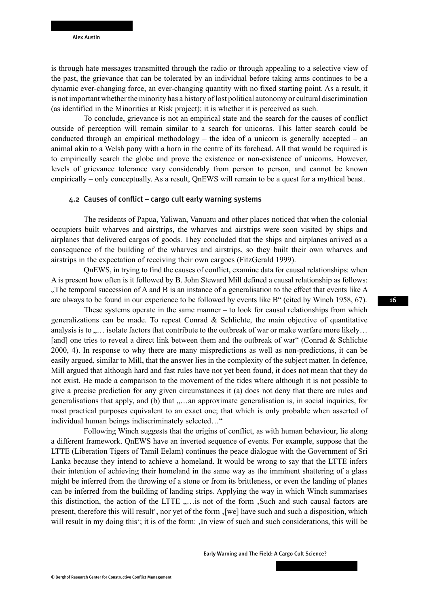is through hate messages transmitted through the radio or through appealing to a selective view of the past, the grievance that can be tolerated by an individual before taking arms continues to be a dynamic ever-changing force, an ever-changing quantity with no fixed starting point. As a result, it is not important whether the minority has a history of lost political autonomy or cultural discrimination (as identified in the Minorities at Risk project); it is whether it is perceived as such.

To conclude, grievance is not an empirical state and the search for the causes of conflict outside of perception will remain similar to a search for unicorns. This latter search could be conducted through an empirical methodology – the idea of a unicorn is generally accepted – an animal akin to a Welsh pony with a horn in the centre of its forehead. All that would be required is to empirically search the globe and prove the existence or non-existence of unicorns. However, levels of grievance tolerance vary considerably from person to person, and cannot be known empirically – only conceptually. As a result, QnEWS will remain to be a quest for a mythical beast.

#### 4.2 Causes of conflict – cargo cult early warning systems

The residents of Papua, Yaliwan, Vanuatu and other places noticed that when the colonial occupiers built wharves and airstrips, the wharves and airstrips were soon visited by ships and airplanes that delivered cargos of goods. They concluded that the ships and airplanes arrived as a consequence of the building of the wharves and airstrips, so they built their own wharves and airstrips in the expectation of receiving their own cargoes (FitzGerald 1999).

QnEWS, in trying to find the causes of conflict, examine data for causal relationships: when A is present how often is it followed by B. John Steward Mill defined a causal relationship as follows: "The temporal succession of A and B is an instance of a generalisation to the effect that events like A are always to be found in our experience to be followed by events like B" (cited by Winch 1958, 67).

These systems operate in the same manner – to look for causal relationships from which generalizations can be made. To repeat Conrad & Schlichte, the main objective of quantitative analysis is to ..... isolate factors that contribute to the outbreak of war or make warfare more likely... [and] one tries to reveal a direct link between them and the outbreak of war" (Conrad & Schlichte 2000, 4). In response to why there are many mispredictions as well as non-predictions, it can be easily argued, similar to Mill, that the answer lies in the complexity of the subject matter. In defence, Mill argued that although hard and fast rules have not yet been found, it does not mean that they do not exist. He made a comparison to the movement of the tides where although it is not possible to give a precise prediction for any given circumstances it (a) does not deny that there are rules and generalisations that apply, and (b) that  $\ldots$  an approximate generalisation is, in social inquiries, for most practical purposes equivalent to an exact one; that which is only probable when asserted of individual human beings indiscriminately selected…"

Following Winch suggests that the origins of conflict, as with human behaviour, lie along a different framework. QnEWS have an inverted sequence of events. For example, suppose that the LTTE (Liberation Tigers of Tamil Eelam) continues the peace dialogue with the Government of Sri Lanka because they intend to achieve a homeland. It would be wrong to say that the LTTE infers their intention of achieving their homeland in the same way as the imminent shattering of a glass might be inferred from the throwing of a stone or from its brittleness, or even the landing of planes can be inferred from the building of landing strips. Applying the way in which Winch summarises this distinction, the action of the LTTE  $, \ldots$  is not of the form  $,$  Such and such causal factors are present, therefore this will result', nor yet of the form '[we] have such and such a disposition, which will result in my doing this'; it is of the form: In view of such and such considerations, this will be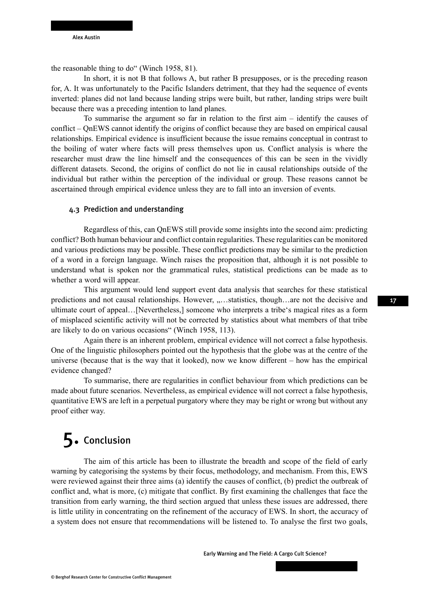the reasonable thing to do" (Winch 1958, 81).

In short, it is not B that follows A, but rather B presupposes, or is the preceding reason for, A. It was unfortunately to the Pacific Islanders detriment, that they had the sequence of events inverted: planes did not land because landing strips were built, but rather, landing strips were built because there was a preceding intention to land planes.

To summarise the argument so far in relation to the first aim – identify the causes of conflict – QnEWS cannot identify the origins of conflict because they are based on empirical causal relationships. Empirical evidence is insufficient because the issue remains conceptual in contrast to the boiling of water where facts will press themselves upon us. Conflict analysis is where the researcher must draw the line himself and the consequences of this can be seen in the vividly different datasets. Second, the origins of conflict do not lie in causal relationships outside of the individual but rather within the perception of the individual or group. These reasons cannot be ascertained through empirical evidence unless they are to fall into an inversion of events.

#### 4.3 Prediction and understanding

Regardless of this, can QnEWS still provide some insights into the second aim: predicting conflict? Both human behaviour and conflict contain regularities. These regularities can be monitored and various predictions may be possible. These conflict predictions may be similar to the prediction of a word in a foreign language. Winch raises the proposition that, although it is not possible to understand what is spoken nor the grammatical rules, statistical predictions can be made as to whether a word will appear.

This argument would lend support event data analysis that searches for these statistical predictions and not causal relationships. However, .....statistics, though...are not the decisive and ultimate court of appeal…[Nevertheless,] someone who interprets a tribe's magical rites as a form of misplaced scientific activity will not be corrected by statistics about what members of that tribe are likely to do on various occasions" (Winch 1958, 113).

Again there is an inherent problem, empirical evidence will not correct a false hypothesis. One of the linguistic philosophers pointed out the hypothesis that the globe was at the centre of the universe (because that is the way that it looked), now we know different – how has the empirical evidence changed?

To summarise, there are regularities in conflict behaviour from which predictions can be made about future scenarios. Nevertheless, as empirical evidence will not correct a false hypothesis, quantitative EWS are left in a perpetual purgatory where they may be right or wrong but without any proof either way.

## 5. Conclusion

The aim of this article has been to illustrate the breadth and scope of the field of early warning by categorising the systems by their focus, methodology, and mechanism. From this, EWS were reviewed against their three aims (a) identify the causes of conflict, (b) predict the outbreak of conflict and, what is more, (c) mitigate that conflict. By first examining the challenges that face the transition from early warning, the third section argued that unless these issues are addressed, there is little utility in concentrating on the refinement of the accuracy of EWS. In short, the accuracy of a system does not ensure that recommendations will be listened to. To analyse the first two goals,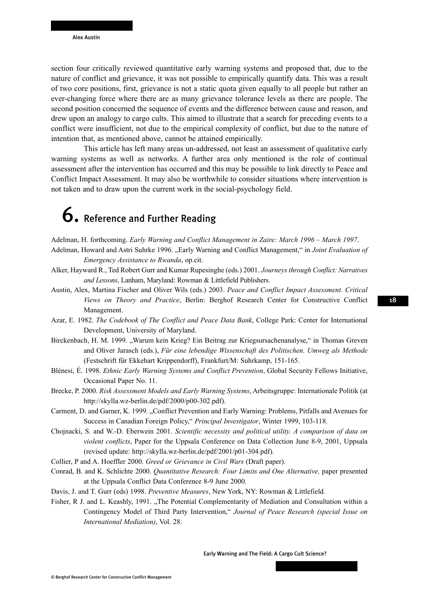section four critically reviewed quantitative early warning systems and proposed that, due to the nature of conflict and grievance, it was not possible to empirically quantify data. This was a result of two core positions, first, grievance is not a static quota given equally to all people but rather an ever-changing force where there are as many grievance tolerance levels as there are people. The second position concerned the sequence of events and the difference between cause and reason, and drew upon an analogy to cargo cults. This aimed to illustrate that a search for preceding events to a conflict were insufficient, not due to the empirical complexity of conflict, but due to the nature of intention that, as mentioned above, cannot be attained empirically.

This article has left many areas un-addressed, not least an assessment of qualitative early warning systems as well as networks. A further area only mentioned is the role of continual assessment after the intervention has occurred and this may be possible to link directly to Peace and Conflict Impact Assessment. It may also be worthwhile to consider situations where intervention is not taken and to draw upon the current work in the social-psychology field.

# 6. Reference and Further Reading

Adelman, H. forthcoming. *Early Warning and Conflict Management in Zaire: March 1996 – March 1997*.

- Adelman, Howard and Astri Suhrke 1996. "Early Warning and Conflict Management," in *Joint Evaluation of Emergency Assistance to Rwanda*, op.cit.
- Alker, Hayward R., Ted Robert Gurr and Kumar Rupesinghe (eds.) 2001. *Journeys through Conflict: Narratives and Lessons*, Lanham, Maryland: Rowman & Littlefield Publishers.
- Austin, Alex, Martina Fischer and Oliver Wils (eds.) 2003. *Peace and Conflict Impact Assessment. Critical Views on Theory and Practice*, Berlin: Berghof Research Center for Constructive Conflict Management.
- Azar, E. 1982. *The Codebook of The Conflict and Peace Data Bank*, College Park: Center for International Development, University of Maryland.
- Birckenbach, H. M. 1999. "Warum kein Krieg? Ein Beitrag zur Kriegsursachenanalyse," in Thomas Greven and Oliver Jarasch (eds.), *Für eine lebendige Wissenschaft des Politischen. Umweg als Methode*  (Festschrift für Ekkehart Krippendorff), Frankfurt/M: Suhrkamp, 151-165.
- Blénesi, É. 1998. *Ethnic Early Warning Systems and Conflict Prevention*, Global Security Fellows Initiative, Occasional Paper No. 11.
- Brecke, P. 2000. *Risk Assessment Models and Early Warning Systems*, Arbeitsgruppe: Internationale Politik (at http://skylla.wz-berlin.de/pdf/2000/p00-302.pdf).
- Carment, D. and Garner, K. 1999. "Conflict Prevention and Early Warning: Problems, Pitfalls and Avenues for Success in Canadian Foreign Policy," *Principal Investigator*, Winter 1999, 103-118.
- Chojnacki, S. and W.-D. Eberwein 2001. *Scientific necessity and political utility. A comparison of data on violent conflicts*, Paper for the Uppsala Conference on Data Collection June 8-9, 2001, Uppsala (revised update: http://skylla.wz-berlin.de/pdf/2001/p01-304.pdf).
- Collier, P and A. Hoeffler 2000. *Greed or Grievance in Civil Wars* (Draft paper).
- Conrad, B. and K. Schlichte 2000. *Quantitative Research: Four Limits and One Alternative*, paper presented at the Uppsala Conflict Data Conference 8-9 June 2000.
- Davis, J. and T. Gurr (eds) 1998. *Preventive Measures*, New York, NY: Rowman & Littlefield.
- Fisher, R J. and L. Keashly, 1991. "The Potential Complementarity of Mediation and Consultation within a Contingency Model of Third Party Intervention," *Journal of Peace Research (special Issue on International Mediation)*, Vol. 28.